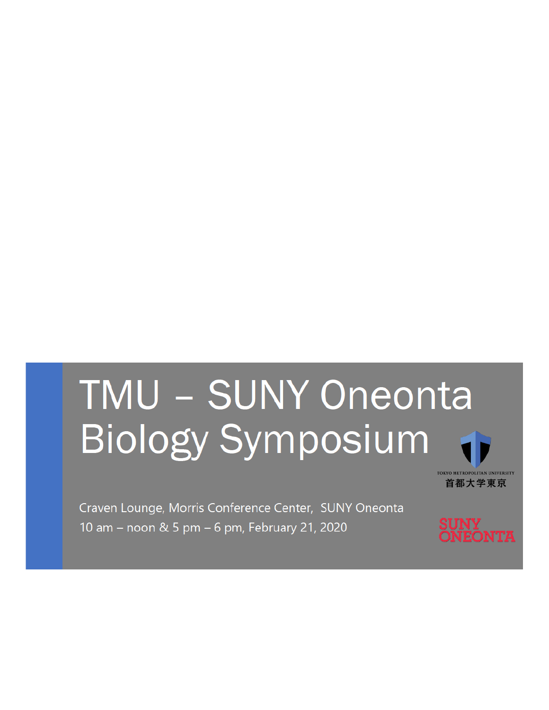# TMU - SUNY Oneonta **Biology Symposium**

Craven Lounge, Morris Conference Center, SUNY Oneonta 10 am - noon & 5 pm - 6 pm, February 21, 2020

**ONTA** 

TOKYO METROPOLITAN UNIVERSITY 首都大学東京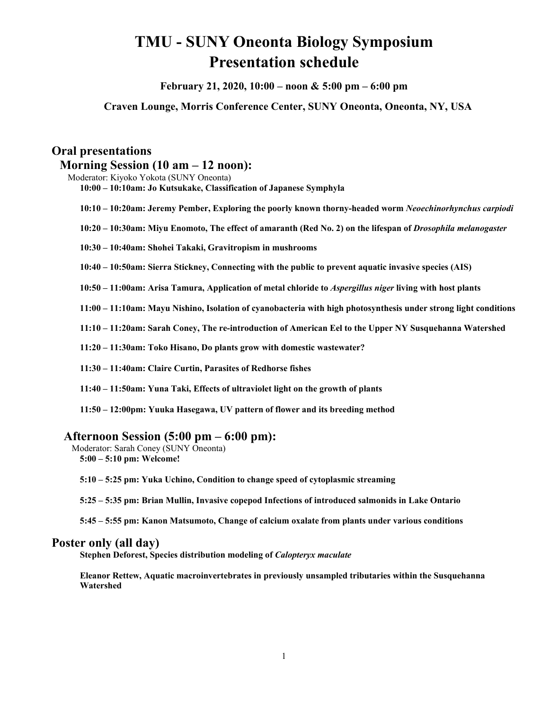## **TMU - SUNY Oneonta Biology Symposium Presentation schedule**

**February 21, 2020, 10:00 – noon & 5:00 pm – 6:00 pm**

**Craven Lounge, Morris Conference Center, SUNY Oneonta, Oneonta, NY, USA**

## **Oral presentations**

## **Morning Session (10 am – 12 noon):**

Moderator: Kiyoko Yokota (SUNY Oneonta) **10:00 – 10:10am: Jo Kutsukake, Classification of Japanese Symphyla**

- **10:10 – 10:20am: Jeremy Pember, Exploring the poorly known thorny-headed worm** *Neoechinorhynchus carpiodi*
- **10:20 – 10:30am: Miyu Enomoto, The effect of amaranth (Red No. 2) on the lifespan of** *Drosophila melanogaster*
- **10:30 – 10:40am: Shohei Takaki, Gravitropism in mushrooms**

**10:40 – 10:50am: Sierra Stickney, Connecting with the public to prevent aquatic invasive species (AIS)**

**10:50 – 11:00am: Arisa Tamura, Application of metal chloride to** *Aspergillus niger* **living with host plants**

**11:00 – 11:10am: Mayu Nishino, Isolation of cyanobacteria with high photosynthesis under strong light conditions**

**11:10 – 11:20am: Sarah Coney, The re-introduction of American Eel to the Upper NY Susquehanna Watershed**

**11:20 – 11:30am: Toko Hisano, Do plants grow with domestic wastewater?**

**11:30 – 11:40am: Claire Curtin, Parasites of Redhorse fishes**

**11:40 – 11:50am: Yuna Taki, Effects of ultraviolet light on the growth of plants**

**11:50 – 12:00pm: Yuuka Hasegawa, UV pattern of flower and its breeding method**

## **Afternoon Session (5:00 pm – 6:00 pm):**

Moderator: Sarah Coney (SUNY Oneonta) **5:00 – 5:10 pm: Welcome!**

**5:10 – 5:25 pm: Yuka Uchino, Condition to change speed of cytoplasmic streaming**

**5:25 – 5:35 pm: Brian Mullin, Invasive copepod Infections of introduced salmonids in Lake Ontario**

**5:45 – 5:55 pm: Kanon Matsumoto, Change of calcium oxalate from plants under various conditions**

### **Poster only (all day)**

**Stephen Deforest, Species distribution modeling of** *Calopteryx maculate*

**Eleanor Rettew, Aquatic macroinvertebrates in previously unsampled tributaries within the Susquehanna Watershed**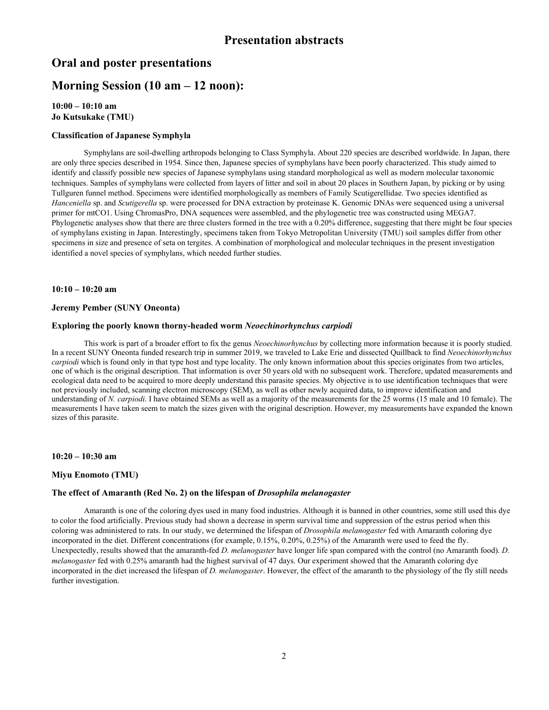## **Oral and poster presentations**

## **Morning Session (10 am – 12 noon):**

**10:00 – 10:10 am Jo Kutsukake (TMU)**

#### **Classification of Japanese Symphyla**

Symphylans are soil-dwelling arthropods belonging to Class Symphyla. About 220 species are described worldwide. In Japan, there are only three species described in 1954. Since then, Japanese species of symphylans have been poorly characterized. This study aimed to identify and classify possible new species of Japanese symphylans using standard morphological as well as modern molecular taxonomic techniques. Samples of symphylans were collected from layers of litter and soil in about 20 places in Southern Japan, by picking or by using Tullguren funnel method. Specimens were identified morphologically as members of Family Scutigerellidae. Two species identified as *Hanceniella* sp. and *Scutigerella* sp. were processed for DNA extraction by proteinase K. Genomic DNAs were sequenced using a universal primer for mtCO1. Using ChromasPro, DNA sequences were assembled, and the phylogenetic tree was constructed using MEGA7. Phylogenetic analyses show that there are three clusters formed in the tree with a 0.20% difference, suggesting that there might be four species of symphylans existing in Japan. Interestingly, specimens taken from Tokyo Metropolitan University (TMU) soil samples differ from other specimens in size and presence of seta on tergites. A combination of morphological and molecular techniques in the present investigation identified a novel species of symphylans, which needed further studies.

#### **10:10 – 10:20 am**

#### **Jeremy Pember (SUNY Oneonta)**

#### **Exploring the poorly known thorny-headed worm** *Neoechinorhynchus carpiodi*

This work is part of a broader effort to fix the genus *Neoechinorhynchus* by collecting more information because it is poorly studied. In a recent SUNY Oneonta funded research trip in summer 2019, we traveled to Lake Erie and dissected Quillback to find *Neoechinorhynchus carpiodi* which is found only in that type host and type locality. The only known information about this species originates from two articles, one of which is the original description. That information is over 50 years old with no subsequent work. Therefore, updated measurements and ecological data need to be acquired to more deeply understand this parasite species. My objective is to use identification techniques that were not previously included, scanning electron microscopy (SEM), as well as other newly acquired data, to improve identification and understanding of *N. carpiodi*. I have obtained SEMs as well as a majority of the measurements for the 25 worms (15 male and 10 female). The measurements I have taken seem to match the sizes given with the original description. However, my measurements have expanded the known sizes of this parasite.

**10:20 – 10:30 am**

#### **Miyu Enomoto (TMU)**

#### **The effect of Amaranth (Red No. 2) on the lifespan of** *Drosophila melanogaster*

Amaranth is one of the coloring dyes used in many food industries. Although it is banned in other countries, some still used this dye to color the food artificially. Previous study had shown a decrease in sperm survival time and suppression of the estrus period when this coloring was administered to rats. In our study, we determined the lifespan of *Drosophila melanogaster* fed with Amaranth coloring dye incorporated in the diet. Different concentrations (for example, 0.15%, 0.20%, 0.25%) of the Amaranth were used to feed the fly. Unexpectedly, results showed that the amaranth-fed *D. melanogaster* have longer life span compared with the control (no Amaranth food). *D. melanogaster* fed with 0.25% amaranth had the highest survival of 47 days. Our experiment showed that the Amaranth coloring dye incorporated in the diet increased the lifespan of *D. melanogaster*. However, the effect of the amaranth to the physiology of the fly still needs further investigation.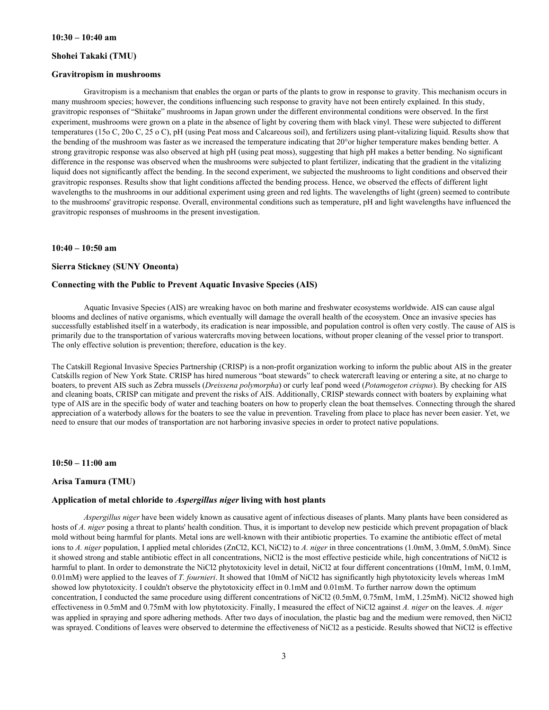#### **Shohei Takaki (TMU)**

#### **Gravitropism in mushrooms**

Gravitropism is a mechanism that enables the organ or parts of the plants to grow in response to gravity. This mechanism occurs in many mushroom species; however, the conditions influencing such response to gravity have not been entirely explained. In this study, gravitropic responses of "Shiitake" mushrooms in Japan grown under the different environmental conditions were observed. In the first experiment, mushrooms were grown on a plate in the absence of light by covering them with black vinyl. These were subjected to different temperatures (15o C, 20o C, 25 o C), pH (using Peat moss and Calcareous soil), and fertilizers using plant-vitalizing liquid. Results show that the bending of the mushroom was faster as we increased the temperature indicating that 20°or higher temperature makes bending better. A strong gravitropic response was also observed at high pH (using peat moss), suggesting that high pH makes a better bending. No significant difference in the response was observed when the mushrooms were subjected to plant fertilizer, indicating that the gradient in the vitalizing liquid does not significantly affect the bending. In the second experiment, we subjected the mushrooms to light conditions and observed their gravitropic responses. Results show that light conditions affected the bending process. Hence, we observed the effects of different light wavelengths to the mushrooms in our additional experiment using green and red lights. The wavelengths of light (green) seemed to contribute to the mushrooms' gravitropic response. Overall, environmental conditions such as temperature, pH and light wavelengths have influenced the gravitropic responses of mushrooms in the present investigation.

#### **10:40 – 10:50 am**

#### **Sierra Stickney (SUNY Oneonta)**

#### **Connecting with the Public to Prevent Aquatic Invasive Species (AIS)**

Aquatic Invasive Species (AIS) are wreaking havoc on both marine and freshwater ecosystems worldwide. AIS can cause algal blooms and declines of native organisms, which eventually will damage the overall health of the ecosystem. Once an invasive species has successfully established itself in a waterbody, its eradication is near impossible, and population control is often very costly. The cause of AIS is primarily due to the transportation of various watercrafts moving between locations, without proper cleaning of the vessel prior to transport. The only effective solution is prevention; therefore, education is the key.

The Catskill Regional Invasive Species Partnership (CRISP) is a non-profit organization working to inform the public about AIS in the greater Catskills region of New York State. CRISP has hired numerous "boat stewards" to check watercraft leaving or entering a site, at no charge to boaters, to prevent AIS such as Zebra mussels (*Dreissena polymorpha*) or curly leaf pond weed (*Potamogeton crispus*). By checking for AIS and cleaning boats, CRISP can mitigate and prevent the risks of AIS. Additionally, CRISP stewards connect with boaters by explaining what type of AIS are in the specific body of water and teaching boaters on how to properly clean the boat themselves. Connecting through the shared appreciation of a waterbody allows for the boaters to see the value in prevention. Traveling from place to place has never been easier. Yet, we need to ensure that our modes of transportation are not harboring invasive species in order to protect native populations.

**10:50 – 11:00 am** 

#### **Arisa Tamura (TMU)**

#### **Application of metal chloride to** *Aspergillus niger* **living with host plants**

*Aspergillus niger* have been widely known as causative agent of infectious diseases of plants. Many plants have been considered as hosts of *A. niger* posing a threat to plants' health condition. Thus, it is important to develop new pesticide which prevent propagation of black mold without being harmful for plants. Metal ions are well-known with their antibiotic properties. To examine the antibiotic effect of metal ions to *A. niger* population, I applied metal chlorides (ZnCl2, KCl, NiCl2) to *A. niger* in three concentrations (1.0mM, 3.0mM, 5.0mM). Since it showed strong and stable antibiotic effect in all concentrations, NiCl2 is the most effective pesticide while, high concentrations of NiCl2 is harmful to plant. In order to demonstrate the NiCl2 phytotoxicity level in detail, NiCl2 at four different concentrations (10mM, 1mM, 0.1mM, 0.01mM) were applied to the leaves of *T. fournieri*. It showed that 10mM of NiCl2 has significantly high phytotoxicity levels whereas 1mM showed low phytotoxicity. I couldn't observe the phytotoxicity effect in 0.1mM and 0.01mM. To further narrow down the optimum concentration, I conducted the same procedure using different concentrations of NiCl2 (0.5mM, 0.75mM, 1mM, 1.25mM). NiCl2 showed high effectiveness in 0.5mM and 0.75mM with low phytotoxicity. Finally, I measured the effect of NiCl2 against *A. niger* on the leaves. *A. niger* was applied in spraying and spore adhering methods. After two days of inoculation, the plastic bag and the medium were removed, then NiCl2 was sprayed. Conditions of leaves were observed to determine the effectiveness of NiCl2 as a pesticide. Results showed that NiCl2 is effective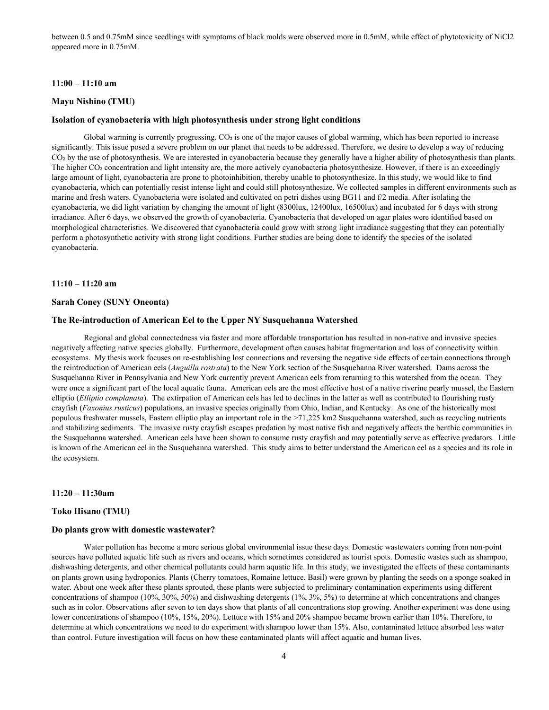between 0.5 and 0.75mM since seedlings with symptoms of black molds were observed more in 0.5mM, while effect of phytotoxicity of NiCl2 appeared more in 0.75mM.

#### **11:00 – 11:10 am**

#### **Mayu Nishino (TMU)**

#### **Isolation of cyanobacteria with high photosynthesis under strong light conditions**

Global warming is currently progressing. CO<sub>2</sub> is one of the major causes of global warming, which has been reported to increase significantly. This issue posed a severe problem on our planet that needs to be addressed. Therefore, we desire to develop a way of reducing CO<sub>2</sub> by the use of photosynthesis. We are interested in cyanobacteria because they generally have a higher ability of photosynthesis than plants. The higher CO2 concentration and light intensity are, the more actively cyanobacteria photosynthesize. However, if there is an exceedingly large amount of light, cyanobacteria are prone to photoinhibition, thereby unable to photosynthesize. In this study, we would like to find cyanobacteria, which can potentially resist intense light and could still photosynthesize. We collected samples in different environments such as marine and fresh waters. Cyanobacteria were isolated and cultivated on petri dishes using BG11 and f/2 media. After isolating the cyanobacteria, we did light variation by changing the amount of light (8300lux, 12400lux, 16500lux) and incubated for 6 days with strong irradiance. After 6 days, we observed the growth of cyanobacteria. Cyanobacteria that developed on agar plates were identified based on morphological characteristics. We discovered that cyanobacteria could grow with strong light irradiance suggesting that they can potentially perform a photosynthetic activity with strong light conditions. Further studies are being done to identify the species of the isolated cyanobacteria.

#### **11:10 – 11:20 am**

#### **Sarah Coney (SUNY Oneonta)**

#### **The Re-introduction of American Eel to the Upper NY Susquehanna Watershed**

Regional and global connectedness via faster and more affordable transportation has resulted in non-native and invasive species negatively affecting native species globally. Furthermore, development often causes habitat fragmentation and loss of connectivity within ecosystems. My thesis work focuses on re-establishing lost connections and reversing the negative side effects of certain connections through the reintroduction of American eels (*Anguilla rostrata*) to the New York section of the Susquehanna River watershed. Dams across the Susquehanna River in Pennsylvania and New York currently prevent American eels from returning to this watershed from the ocean. They were once a significant part of the local aquatic fauna. American eels are the most effective host of a native riverine pearly mussel, the Eastern elliptio (*Elliptio complanata*). The extirpation of American eels has led to declines in the latter as well as contributed to flourishing rusty crayfish (*Faxonius rusticus*) populations, an invasive species originally from Ohio, Indian, and Kentucky. As one of the historically most populous freshwater mussels, Eastern elliptio play an important role in the >71,225 km2 Susquehanna watershed, such as recycling nutrients and stabilizing sediments. The invasive rusty crayfish escapes predation by most native fish and negatively affects the benthic communities in the Susquehanna watershed. American eels have been shown to consume rusty crayfish and may potentially serve as effective predators. Little is known of the American eel in the Susquehanna watershed. This study aims to better understand the American eel as a species and its role in the ecosystem.

#### **11:20 – 11:30am**

#### **Toko Hisano (TMU)**

#### **Do plants grow with domestic wastewater?**

Water pollution has become a more serious global environmental issue these days. Domestic wastewaters coming from non-point sources have polluted aquatic life such as rivers and oceans, which sometimes considered as tourist spots. Domestic wastes such as shampoo, dishwashing detergents, and other chemical pollutants could harm aquatic life. In this study, we investigated the effects of these contaminants on plants grown using hydroponics. Plants (Cherry tomatoes, Romaine lettuce, Basil) were grown by planting the seeds on a sponge soaked in water. About one week after these plants sprouted, these plants were subjected to preliminary contamination experiments using different concentrations of shampoo (10%, 30%, 50%) and dishwashing detergents (1%, 3%, 5%) to determine at which concentrations and changes such as in color. Observations after seven to ten days show that plants of all concentrations stop growing. Another experiment was done using lower concentrations of shampoo (10%, 15%, 20%). Lettuce with 15% and 20% shampoo became brown earlier than 10%. Therefore, to determine at which concentrations we need to do experiment with shampoo lower than 15%. Also, contaminated lettuce absorbed less water than control. Future investigation will focus on how these contaminated plants will affect aquatic and human lives.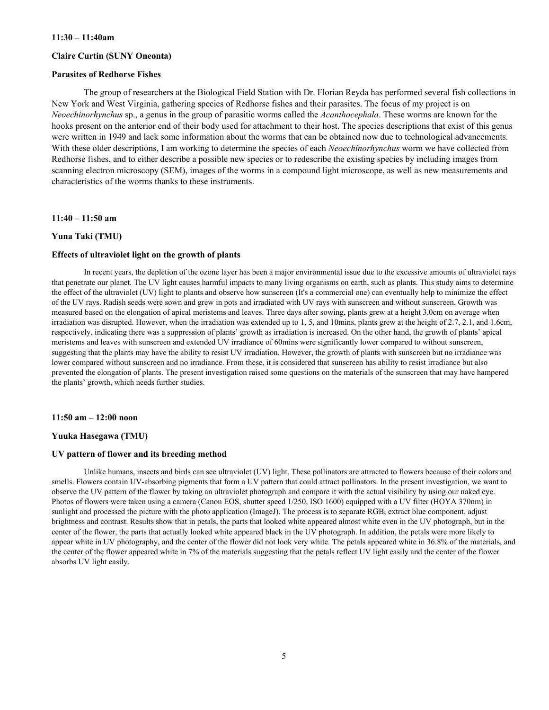#### **11:30 – 11:40am**

#### **Claire Curtin (SUNY Oneonta)**

#### **Parasites of Redhorse Fishes**

The group of researchers at the Biological Field Station with Dr. Florian Reyda has performed several fish collections in New York and West Virginia, gathering species of Redhorse fishes and their parasites. The focus of my project is on *Neoechinorhynchus* sp., a genus in the group of parasitic worms called the *Acanthocephala*. These worms are known for the hooks present on the anterior end of their body used for attachment to their host. The species descriptions that exist of this genus were written in 1949 and lack some information about the worms that can be obtained now due to technological advancements. With these older descriptions, I am working to determine the species of each *Neoechinorhynchus* worm we have collected from Redhorse fishes, and to either describe a possible new species or to redescribe the existing species by including images from scanning electron microscopy (SEM), images of the worms in a compound light microscope, as well as new measurements and characteristics of the worms thanks to these instruments.

**11:40 – 11:50 am**

#### **Yuna Taki (TMU)**

#### **Effects of ultraviolet light on the growth of plants**

In recent years, the depletion of the ozone layer has been a major environmental issue due to the excessive amounts of ultraviolet rays that penetrate our planet. The UV light causes harmful impacts to many living organisms on earth, such as plants. This study aims to determine the effect of the ultraviolet (UV) light to plants and observe how sunscreen (It's a commercial one) can eventually help to minimize the effect of the UV rays. Radish seeds were sown and grew in pots and irradiated with UV rays with sunscreen and without sunscreen. Growth was measured based on the elongation of apical meristems and leaves. Three days after sowing, plants grew at a height 3.0cm on average when irradiation was disrupted. However, when the irradiation was extended up to 1, 5, and 10mins, plants grew at the height of 2.7, 2.1, and 1.6cm, respectively, indicating there was a suppression of plants' growth as irradiation is increased. On the other hand, the growth of plants' apical meristems and leaves with sunscreen and extended UV irradiance of 60mins were significantly lower compared to without sunscreen, suggesting that the plants may have the ability to resist UV irradiation. However, the growth of plants with sunscreen but no irradiance was lower compared without sunscreen and no irradiance. From these, it is considered that sunscreen has ability to resist irradiance but also prevented the elongation of plants. The present investigation raised some questions on the materials of the sunscreen that may have hampered the plants' growth, which needs further studies.

#### **11:50 am – 12:00 noon**

#### **Yuuka Hasegawa (TMU)**

#### **UV pattern of flower and its breeding method**

Unlike humans, insects and birds can see ultraviolet (UV) light. These pollinators are attracted to flowers because of their colors and smells. Flowers contain UV-absorbing pigments that form a UV pattern that could attract pollinators. In the present investigation, we want to observe the UV pattern of the flower by taking an ultraviolet photograph and compare it with the actual visibility by using our naked eye. Photos of flowers were taken using a camera (Canon EOS, shutter speed 1/250, ISO 1600) equipped with a UV filter (HOYA 370nm) in sunlight and processed the picture with the photo application (ImageJ). The process is to separate RGB, extract blue component, adjust brightness and contrast. Results show that in petals, the parts that looked white appeared almost white even in the UV photograph, but in the center of the flower, the parts that actually looked white appeared black in the UV photograph. In addition, the petals were more likely to appear white in UV photography, and the center of the flower did not look very white. The petals appeared white in 36.8% of the materials, and the center of the flower appeared white in 7% of the materials suggesting that the petals reflect UV light easily and the center of the flower absorbs UV light easily.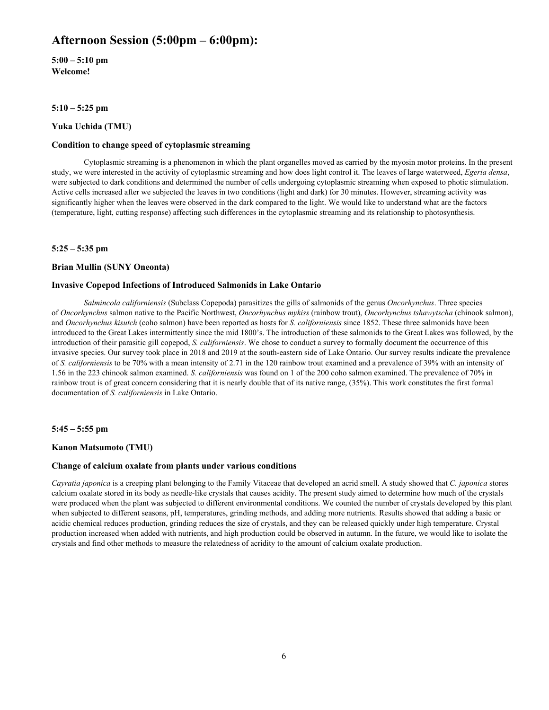## **Afternoon Session (5:00pm – 6:00pm):**

**5:00 – 5:10 pm Welcome!**

**5:10 – 5:25 pm**

**Yuka Uchida (TMU)**

#### **Condition to change speed of cytoplasmic streaming**

Cytoplasmic streaming is a phenomenon in which the plant organelles moved as carried by the myosin motor proteins. In the present study, we were interested in the activity of cytoplasmic streaming and how does light control it. The leaves of large waterweed, *Egeria densa*, were subjected to dark conditions and determined the number of cells undergoing cytoplasmic streaming when exposed to photic stimulation. Active cells increased after we subjected the leaves in two conditions (light and dark) for 30 minutes. However, streaming activity was significantly higher when the leaves were observed in the dark compared to the light. We would like to understand what are the factors (temperature, light, cutting response) affecting such differences in the cytoplasmic streaming and its relationship to photosynthesis.

**5:25 – 5:35 pm**

#### **Brian Mullin (SUNY Oneonta)**

#### **Invasive Copepod Infections of Introduced Salmonids in Lake Ontario**

*Salmincola californiensis* (Subclass Copepoda) parasitizes the gills of salmonids of the genus *Oncorhynchus*. Three species of *Oncorhynchus* salmon native to the Pacific Northwest, *Oncorhynchus mykiss* (rainbow trout), *Oncorhynchus tshawytscha* (chinook salmon), and *Oncorhynchus kisutch* (coho salmon) have been reported as hosts for *S. californiensis* since 1852. These three salmonids have been introduced to the Great Lakes intermittently since the mid 1800's. The introduction of these salmonids to the Great Lakes was followed, by the introduction of their parasitic gill copepod, *S. californiensis*. We chose to conduct a survey to formally document the occurrence of this invasive species. Our survey took place in 2018 and 2019 at the south-eastern side of Lake Ontario. Our survey results indicate the prevalence of *S. californiensis* to be 70% with a mean intensity of 2.71 in the 120 rainbow trout examined and a prevalence of 39% with an intensity of 1.56 in the 223 chinook salmon examined. *S. californiensis* was found on 1 of the 200 coho salmon examined. The prevalence of 70% in rainbow trout is of great concern considering that it is nearly double that of its native range, (35%). This work constitutes the first formal documentation of *S. californiensis* in Lake Ontario.

**5:45 – 5:55 pm** 

#### **Kanon Matsumoto (TMU)**

#### **Change of calcium oxalate from plants under various conditions**

*Cayratia japonica* is a creeping plant belonging to the Family Vitaceae that developed an acrid smell. A study showed that *C. japonica* stores calcium oxalate stored in its body as needle-like crystals that causes acidity. The present study aimed to determine how much of the crystals were produced when the plant was subjected to different environmental conditions. We counted the number of crystals developed by this plant when subjected to different seasons, pH, temperatures, grinding methods, and adding more nutrients. Results showed that adding a basic or acidic chemical reduces production, grinding reduces the size of crystals, and they can be released quickly under high temperature. Crystal production increased when added with nutrients, and high production could be observed in autumn. In the future, we would like to isolate the crystals and find other methods to measure the relatedness of acridity to the amount of calcium oxalate production.